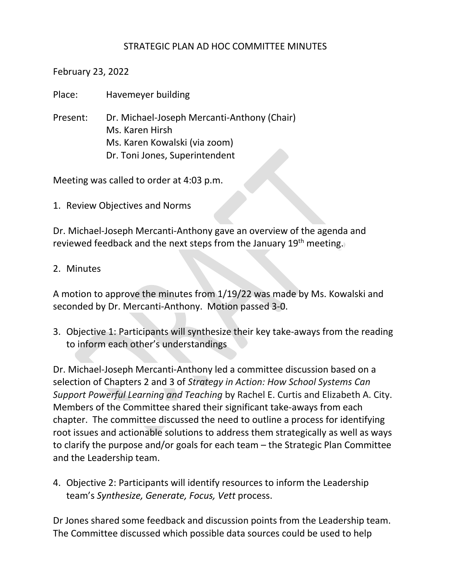## STRATEGIC PLAN AD HOC COMMITTEE MINUTES

February 23, 2022

Place: Havemeyer building

Present: Dr. Michael-Joseph Mercanti-Anthony (Chair) Ms. Karen Hirsh Ms. Karen Kowalski (via zoom) Dr. Toni Jones, Superintendent

Meeting was called to order at 4:03 p.m.

1. Review Objectives and Norms

Dr. Michael-Joseph Mercanti-Anthony gave an overview of the agenda and reviewed feedback and the next steps from the January 19<sup>th</sup> meeting.

## 2. Minutes

A motion to approve the minutes from 1/19/22 was made by Ms. Kowalski and seconded by Dr. Mercanti-Anthony. Motion passed 3-0.

3. Objective 1: Participants will synthesize their key take-aways from the reading to inform each other's understandings

Dr. Michael-Joseph Mercanti-Anthony led a committee discussion based on a selection of Chapters 2 and 3 of *Strategy in Action: How School Systems Can Support Powerful Learning and Teaching* by Rachel E. Curtis and Elizabeth A. City. Members of the Committee shared their significant take-aways from each chapter. The committee discussed the need to outline a process for identifying root issues and actionable solutions to address them strategically as well as ways to clarify the purpose and/or goals for each team – the Strategic Plan Committee and the Leadership team.

4. Objective 2: Participants will identify resources to inform the Leadership team's *Synthesize, Generate, Focus, Vett* process.

Dr Jones shared some feedback and discussion points from the Leadership team. The Committee discussed which possible data sources could be used to help